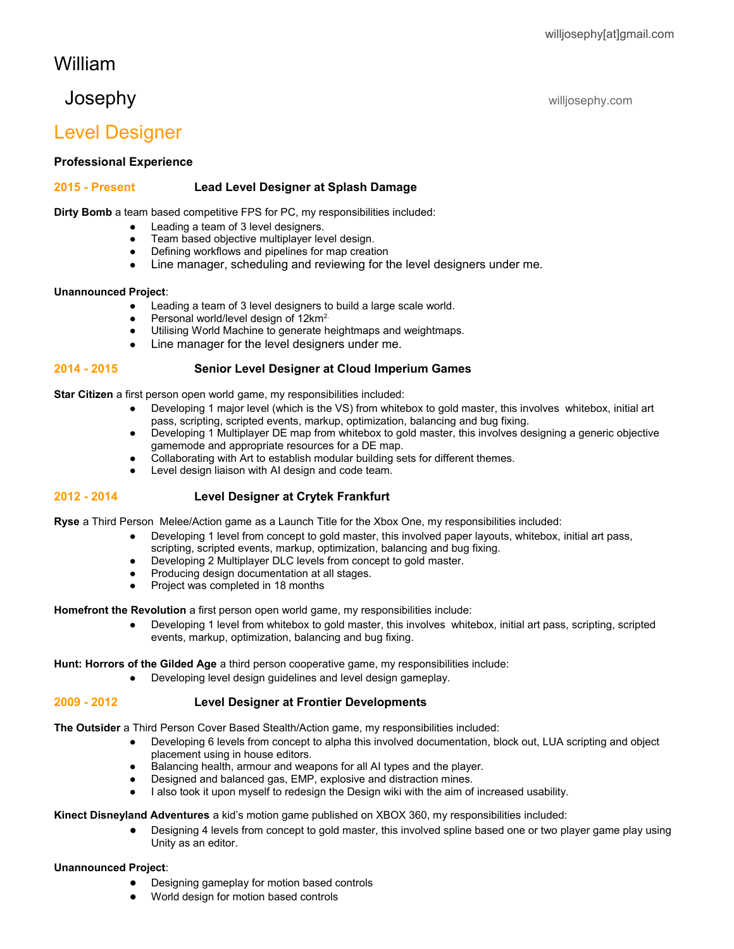#### willjosephy[at]gmail.com

# William

# Josephy willjosephy.com

# Level Designer

**Professional Experience**

## **2015 - Present Lead Level Designer at Splash Damage**

**Dirty Bomb** a team based competitive FPS for PC, my responsibilities included:

- Leading a team of 3 level designers.
- Team based objective multiplayer level design.
- Defining workflows and pipelines for map creation
- Line manager, scheduling and reviewing for the level designers under me.

## **Unannounced Project**:

- Leading a team of 3 level designers to build a large scale world.
- Personal world/level design of 12km<sup>2.</sup>
- Utilising World Machine to generate heightmaps and weightmaps.
- Line manager for the level designers under me.

## **2014 - 2015 Senior Level Designer at Cloud Imperium Games**

**Star Citizen** a first person open world game, my responsibilities included:

- Developing 1 major level (which is the VS) from whitebox to gold master, this involves whitebox, initial art pass, scripting, scripted events, markup, optimization, balancing and bug fixing.
- Developing 1 Multiplayer DE map from whitebox to gold master, this involves designing a generic objective gamemode and appropriate resources for a DE map.
- Collaborating with Art to establish modular building sets for different themes.
- Level design liaison with AI design and code team.

## **2012 - 2014 Level Designer at Crytek Frankfurt**

**Ryse** a Third Person Melee/Action game as a Launch Title for the Xbox One, my responsibilities included:

- Developing 1 level from concept to gold master, this involved paper layouts, whitebox, initial art pass, scripting, scripted events, markup, optimization, balancing and bug fixing.
- Developing 2 Multiplayer DLC levels from concept to gold master.
- Producing design documentation at all stages.
- Project was completed in 18 months

**Homefront the Revolution** a first person open world game, my responsibilities include:

● Developing 1 level from whitebox to gold master, this involves whitebox, initial art pass, scripting, scripted events, markup, optimization, balancing and bug fixing.

**Hunt: Horrors of the Gilded Age** a third person cooperative game, my responsibilities include:

● Developing level design guidelines and level design gameplay.

#### **2009 - 2012 Level Designer at Frontier Developments**

**The Outsider** a Third Person Cover Based Stealth/Action game, my responsibilities included:

- Developing 6 levels from concept to alpha this involved documentation, block out, LUA scripting and object placement using in house editors.
- Balancing health, armour and weapons for all AI types and the player.
- Designed and balanced gas, EMP, explosive and distraction mines.
- I also took it upon myself to redesign the Design wiki with the aim of increased usability.

**Kinect Disneyland Adventures** a kid's motion game published on XBOX 360, my responsibilities included:

● Designing 4 levels from concept to gold master, this involved spline based one or two player game play using Unity as an editor.

#### **Unannounced Project**:

- Designing gameplay for motion based controls
- World design for motion based controls